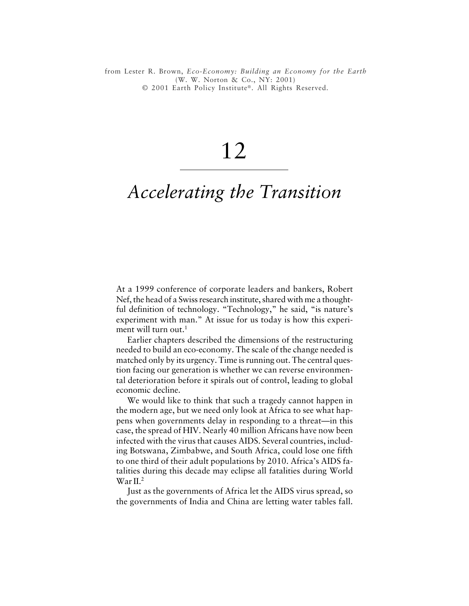*Accelerating the Transition 253* © 2001 Earth Policy Institute®. All Rights Reserved.from Lester R. Brown, *Eco-Economy: Building an Economy for the Earth* (W. W. Norton & Co., NY: 2001)

# 12

# *Accelerating the Transition*

At a 1999 conference of corporate leaders and bankers, Robert Nef, the head of a Swiss research institute, shared with me a thoughtful definition of technology. "Technology," he said, "is nature's experiment with man." At issue for us today is how this experiment will turn out. $1$ 

Earlier chapters described the dimensions of the restructuring needed to build an eco-economy. The scale of the change needed is matched only by its urgency. Time is running out. The central question facing our generation is whether we can reverse environmental deterioration before it spirals out of control, leading to global economic decline.

We would like to think that such a tragedy cannot happen in the modern age, but we need only look at Africa to see what happens when governments delay in responding to a threat—in this case, the spread of HIV. Nearly 40 million Africans have now been infected with the virus that causes AIDS. Several countries, including Botswana, Zimbabwe, and South Africa, could lose one fifth to one third of their adult populations by 2010. Africa's AIDS fatalities during this decade may eclipse all fatalities during World War  $II<sup>2</sup>$ 

Just as the governments of Africa let the AIDS virus spread, so the governments of India and China are letting water tables fall.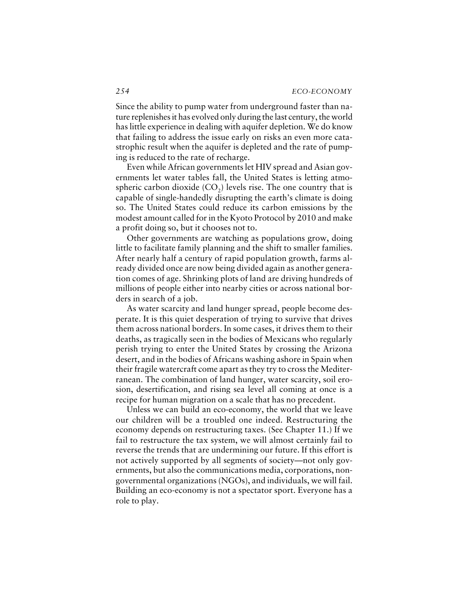Since the ability to pump water from underground faster than nature replenishes it has evolved only during the last century, the world has little experience in dealing with aquifer depletion. We do know that failing to address the issue early on risks an even more catastrophic result when the aquifer is depleted and the rate of pumping is reduced to the rate of recharge.

Even while African governments let HIV spread and Asian governments let water tables fall, the United States is letting atmospheric carbon dioxide (CO<sub>2</sub>) levels rise. The one country that is capable of single-handedly disrupting the earth's climate is doing so. The United States could reduce its carbon emissions by the modest amount called for in the Kyoto Protocol by 2010 and make a profit doing so, but it chooses not to.

Other governments are watching as populations grow, doing little to facilitate family planning and the shift to smaller families. After nearly half a century of rapid population growth, farms already divided once are now being divided again as another generation comes of age. Shrinking plots of land are driving hundreds of millions of people either into nearby cities or across national borders in search of a job.

As water scarcity and land hunger spread, people become desperate. It is this quiet desperation of trying to survive that drives them across national borders. In some cases, it drives them to their deaths, as tragically seen in the bodies of Mexicans who regularly perish trying to enter the United States by crossing the Arizona desert, and in the bodies of Africans washing ashore in Spain when their fragile watercraft come apart as they try to cross the Mediterranean. The combination of land hunger, water scarcity, soil erosion, desertification, and rising sea level all coming at once is a recipe for human migration on a scale that has no precedent.

Unless we can build an eco-economy, the world that we leave our children will be a troubled one indeed. Restructuring the economy depends on restructuring taxes. (See Chapter 11.) If we fail to restructure the tax system, we will almost certainly fail to reverse the trends that are undermining our future. If this effort is not actively supported by all segments of society—not only governments, but also the communications media, corporations, nongovernmental organizations (NGOs), and individuals, we will fail. Building an eco-economy is not a spectator sport. Everyone has a role to play.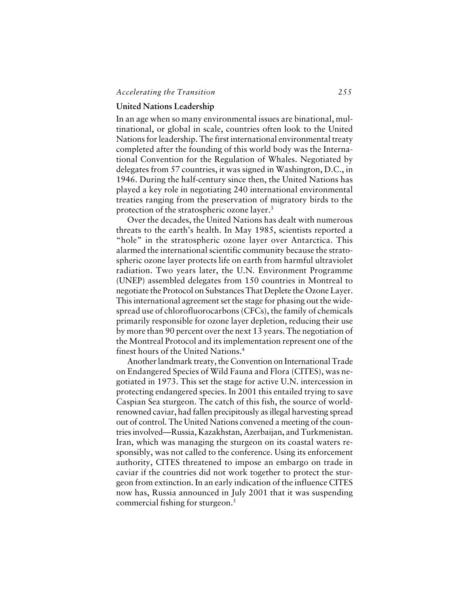#### **United Nations Leadership**

In an age when so many environmental issues are binational, multinational, or global in scale, countries often look to the United Nations for leadership. The first international environmental treaty completed after the founding of this world body was the International Convention for the Regulation of Whales. Negotiated by delegates from 57 countries, it was signed in Washington, D.C., in 1946. During the half-century since then, the United Nations has played a key role in negotiating 240 international environmental treaties ranging from the preservation of migratory birds to the protection of the stratospheric ozone layer.<sup>3</sup>

Over the decades, the United Nations has dealt with numerous threats to the earth's health. In May 1985, scientists reported a "hole" in the stratospheric ozone layer over Antarctica. This alarmed the international scientific community because the stratospheric ozone layer protects life on earth from harmful ultraviolet radiation. Two years later, the U.N. Environment Programme (UNEP) assembled delegates from 150 countries in Montreal to negotiate the Protocol on Substances That Deplete the Ozone Layer. This international agreement set the stage for phasing out the widespread use of chlorofluorocarbons (CFCs), the family of chemicals primarily responsible for ozone layer depletion, reducing their use by more than 90 percent over the next 13 years. The negotiation of the Montreal Protocol and its implementation represent one of the finest hours of the United Nations.<sup>4</sup>

Another landmark treaty, the Convention on International Trade on Endangered Species of Wild Fauna and Flora (CITES), was negotiated in 1973. This set the stage for active U.N. intercession in protecting endangered species. In 2001 this entailed trying to save Caspian Sea sturgeon. The catch of this fish, the source of worldrenowned caviar, had fallen precipitously as illegal harvesting spread out of control. The United Nations convened a meeting of the countries involved—Russia, Kazakhstan, Azerbaijan, and Turkmenistan. Iran, which was managing the sturgeon on its coastal waters responsibly, was not called to the conference. Using its enforcement authority, CITES threatened to impose an embargo on trade in caviar if the countries did not work together to protect the sturgeon from extinction. In an early indication of the influence CITES now has, Russia announced in July 2001 that it was suspending commercial fishing for sturgeon.<sup>5</sup>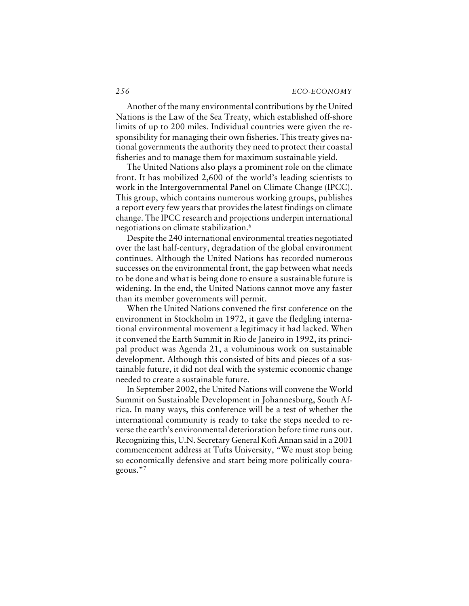#### *256 ECO-ECONOMY*

Another of the many environmental contributions by the United Nations is the Law of the Sea Treaty, which established off-shore limits of up to 200 miles. Individual countries were given the responsibility for managing their own fisheries. This treaty gives national governments the authority they need to protect their coastal fisheries and to manage them for maximum sustainable yield.

The United Nations also plays a prominent role on the climate front. It has mobilized 2,600 of the world's leading scientists to work in the Intergovernmental Panel on Climate Change (IPCC). This group, which contains numerous working groups, publishes a report every few years that provides the latest findings on climate change. The IPCC research and projections underpin international negotiations on climate stabilization.<sup>6</sup>

Despite the 240 international environmental treaties negotiated over the last half-century, degradation of the global environment continues. Although the United Nations has recorded numerous successes on the environmental front, the gap between what needs to be done and what is being done to ensure a sustainable future is widening. In the end, the United Nations cannot move any faster than its member governments will permit.

When the United Nations convened the first conference on the environment in Stockholm in 1972, it gave the fledgling international environmental movement a legitimacy it had lacked. When it convened the Earth Summit in Rio de Janeiro in 1992, its principal product was Agenda 21, a voluminous work on sustainable development. Although this consisted of bits and pieces of a sustainable future, it did not deal with the systemic economic change needed to create a sustainable future.

In September 2002, the United Nations will convene the World Summit on Sustainable Development in Johannesburg, South Africa. In many ways, this conference will be a test of whether the international community is ready to take the steps needed to reverse the earth's environmental deterioration before time runs out. Recognizing this, U.N. Secretary General Kofi Annan said in a 2001 commencement address at Tufts University, "We must stop being so economically defensive and start being more politically courageous."7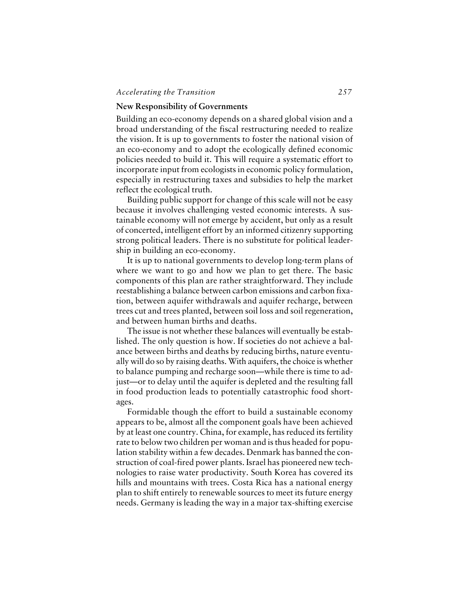## **New Responsibility of Governments**

Building an eco-economy depends on a shared global vision and a broad understanding of the fiscal restructuring needed to realize the vision. It is up to governments to foster the national vision of an eco-economy and to adopt the ecologically defined economic policies needed to build it. This will require a systematic effort to incorporate input from ecologists in economic policy formulation, especially in restructuring taxes and subsidies to help the market reflect the ecological truth.

Building public support for change of this scale will not be easy because it involves challenging vested economic interests. A sustainable economy will not emerge by accident, but only as a result of concerted, intelligent effort by an informed citizenry supporting strong political leaders. There is no substitute for political leadership in building an eco-economy.

It is up to national governments to develop long-term plans of where we want to go and how we plan to get there. The basic components of this plan are rather straightforward. They include reestablishing a balance between carbon emissions and carbon fixation, between aquifer withdrawals and aquifer recharge, between trees cut and trees planted, between soil loss and soil regeneration, and between human births and deaths.

The issue is not whether these balances will eventually be established. The only question is how. If societies do not achieve a balance between births and deaths by reducing births, nature eventually will do so by raising deaths. With aquifers, the choice is whether to balance pumping and recharge soon—while there is time to adjust—or to delay until the aquifer is depleted and the resulting fall in food production leads to potentially catastrophic food shortages.

Formidable though the effort to build a sustainable economy appears to be, almost all the component goals have been achieved by at least one country. China, for example, has reduced its fertility rate to below two children per woman and is thus headed for population stability within a few decades. Denmark has banned the construction of coal-fired power plants. Israel has pioneered new technologies to raise water productivity. South Korea has covered its hills and mountains with trees. Costa Rica has a national energy plan to shift entirely to renewable sources to meet its future energy needs. Germany is leading the way in a major tax-shifting exercise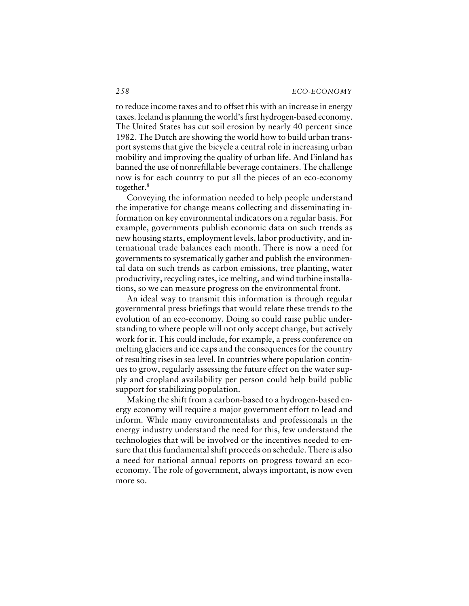to reduce income taxes and to offset this with an increase in energy taxes. Iceland is planning the world's first hydrogen-based economy. The United States has cut soil erosion by nearly 40 percent since 1982. The Dutch are showing the world how to build urban transport systems that give the bicycle a central role in increasing urban mobility and improving the quality of urban life. And Finland has banned the use of nonrefillable beverage containers. The challenge now is for each country to put all the pieces of an eco-economy together.<sup>8</sup>

Conveying the information needed to help people understand the imperative for change means collecting and disseminating information on key environmental indicators on a regular basis. For example, governments publish economic data on such trends as new housing starts, employment levels, labor productivity, and international trade balances each month. There is now a need for governments to systematically gather and publish the environmental data on such trends as carbon emissions, tree planting, water productivity, recycling rates, ice melting, and wind turbine installations, so we can measure progress on the environmental front.

An ideal way to transmit this information is through regular governmental press briefings that would relate these trends to the evolution of an eco-economy. Doing so could raise public understanding to where people will not only accept change, but actively work for it. This could include, for example, a press conference on melting glaciers and ice caps and the consequences for the country of resulting rises in sea level. In countries where population continues to grow, regularly assessing the future effect on the water supply and cropland availability per person could help build public support for stabilizing population.

Making the shift from a carbon-based to a hydrogen-based energy economy will require a major government effort to lead and inform. While many environmentalists and professionals in the energy industry understand the need for this, few understand the technologies that will be involved or the incentives needed to ensure that this fundamental shift proceeds on schedule. There is also a need for national annual reports on progress toward an ecoeconomy. The role of government, always important, is now even more so.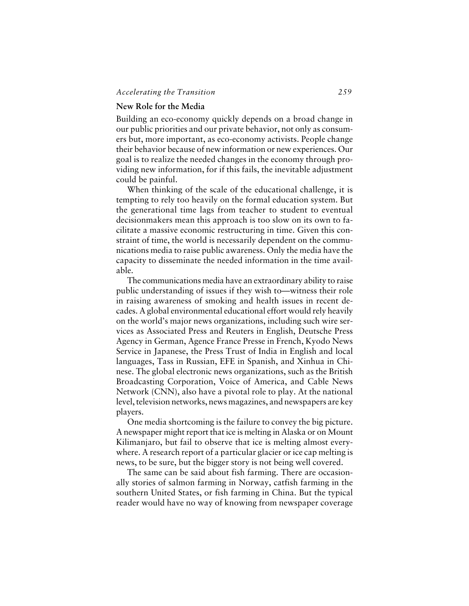#### **New Role for the Media**

Building an eco-economy quickly depends on a broad change in our public priorities and our private behavior, not only as consumers but, more important, as eco-economy activists. People change their behavior because of new information or new experiences. Our goal is to realize the needed changes in the economy through providing new information, for if this fails, the inevitable adjustment could be painful.

When thinking of the scale of the educational challenge, it is tempting to rely too heavily on the formal education system. But the generational time lags from teacher to student to eventual decisionmakers mean this approach is too slow on its own to facilitate a massive economic restructuring in time. Given this constraint of time, the world is necessarily dependent on the communications media to raise public awareness. Only the media have the capacity to disseminate the needed information in the time available.

The communications media have an extraordinary ability to raise public understanding of issues if they wish to—witness their role in raising awareness of smoking and health issues in recent decades. A global environmental educational effort would rely heavily on the world's major news organizations, including such wire services as Associated Press and Reuters in English, Deutsche Press Agency in German, Agence France Presse in French, Kyodo News Service in Japanese, the Press Trust of India in English and local languages, Tass in Russian, EFE in Spanish, and Xinhua in Chinese. The global electronic news organizations, such as the British Broadcasting Corporation, Voice of America, and Cable News Network (CNN), also have a pivotal role to play. At the national level, television networks, news magazines, and newspapers are key players.

One media shortcoming is the failure to convey the big picture. A newspaper might report that ice is melting in Alaska or on Mount Kilimanjaro, but fail to observe that ice is melting almost everywhere. A research report of a particular glacier or ice cap melting is news, to be sure, but the bigger story is not being well covered.

The same can be said about fish farming. There are occasionally stories of salmon farming in Norway, catfish farming in the southern United States, or fish farming in China. But the typical reader would have no way of knowing from newspaper coverage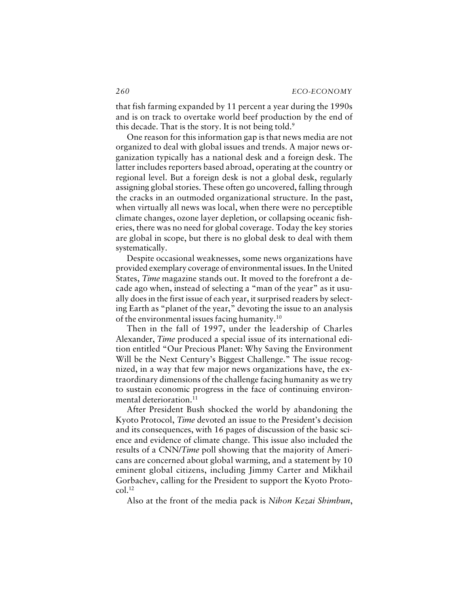that fish farming expanded by 11 percent a year during the 1990s and is on track to overtake world beef production by the end of this decade. That is the story. It is not being told.<sup>9</sup>

One reason for this information gap is that news media are not organized to deal with global issues and trends. A major news organization typically has a national desk and a foreign desk. The latter includes reporters based abroad, operating at the country or regional level. But a foreign desk is not a global desk, regularly assigning global stories. These often go uncovered, falling through the cracks in an outmoded organizational structure. In the past, when virtually all news was local, when there were no perceptible climate changes, ozone layer depletion, or collapsing oceanic fisheries, there was no need for global coverage. Today the key stories are global in scope, but there is no global desk to deal with them systematically.

Despite occasional weaknesses, some news organizations have provided exemplary coverage of environmental issues. In the United States, *Time* magazine stands out. It moved to the forefront a decade ago when, instead of selecting a "man of the year" as it usually does in the first issue of each year, it surprised readers by selecting Earth as "planet of the year," devoting the issue to an analysis of the environmental issues facing humanity.<sup>10</sup>

Then in the fall of 1997, under the leadership of Charles Alexander, *Time* produced a special issue of its international edition entitled "Our Precious Planet: Why Saving the Environment Will be the Next Century's Biggest Challenge." The issue recognized, in a way that few major news organizations have, the extraordinary dimensions of the challenge facing humanity as we try to sustain economic progress in the face of continuing environmental deterioration.<sup>11</sup>

After President Bush shocked the world by abandoning the Kyoto Protocol, *Time* devoted an issue to the President's decision and its consequences, with 16 pages of discussion of the basic science and evidence of climate change. This issue also included the results of a CNN/*Time* poll showing that the majority of Americans are concerned about global warming, and a statement by 10 eminent global citizens, including Jimmy Carter and Mikhail Gorbachev, calling for the President to support the Kyoto Proto $col.<sup>12</sup>$ 

Also at the front of the media pack is *Nihon Kezai Shimbun*,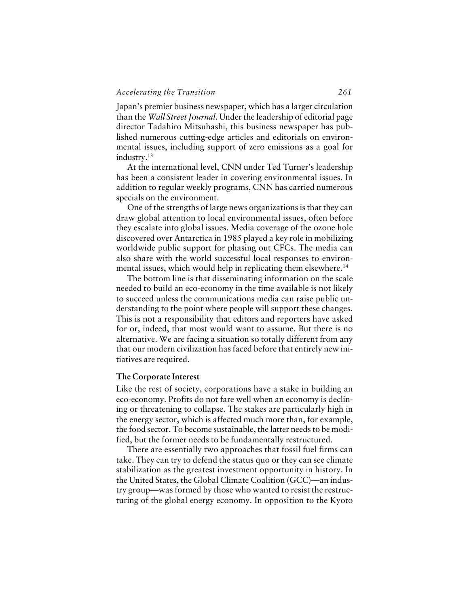Japan's premier business newspaper, which has a larger circulation than the *Wall Street Journal*. Under the leadership of editorial page director Tadahiro Mitsuhashi, this business newspaper has published numerous cutting-edge articles and editorials on environmental issues, including support of zero emissions as a goal for industry.<sup>13</sup>

At the international level, CNN under Ted Turner's leadership has been a consistent leader in covering environmental issues. In addition to regular weekly programs, CNN has carried numerous specials on the environment.

One of the strengths of large news organizations is that they can draw global attention to local environmental issues, often before they escalate into global issues. Media coverage of the ozone hole discovered over Antarctica in 1985 played a key role in mobilizing worldwide public support for phasing out CFCs. The media can also share with the world successful local responses to environmental issues, which would help in replicating them elsewhere.<sup>14</sup>

The bottom line is that disseminating information on the scale needed to build an eco-economy in the time available is not likely to succeed unless the communications media can raise public understanding to the point where people will support these changes. This is not a responsibility that editors and reporters have asked for or, indeed, that most would want to assume. But there is no alternative. We are facing a situation so totally different from any that our modern civilization has faced before that entirely new initiatives are required.

#### **The Corporate Interest**

Like the rest of society, corporations have a stake in building an eco-economy. Profits do not fare well when an economy is declining or threatening to collapse. The stakes are particularly high in the energy sector, which is affected much more than, for example, the food sector. To become sustainable, the latter needs to be modified, but the former needs to be fundamentally restructured.

There are essentially two approaches that fossil fuel firms can take. They can try to defend the status quo or they can see climate stabilization as the greatest investment opportunity in history. In the United States, the Global Climate Coalition (GCC)—an industry group—was formed by those who wanted to resist the restructuring of the global energy economy. In opposition to the Kyoto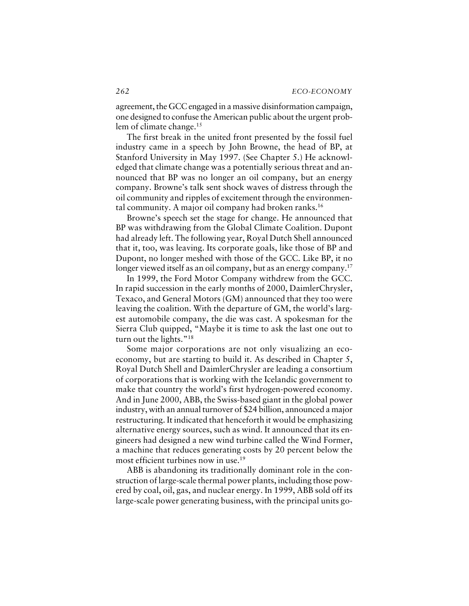agreement, the GCC engaged in a massive disinformation campaign, one designed to confuse the American public about the urgent problem of climate change.<sup>15</sup>

The first break in the united front presented by the fossil fuel industry came in a speech by John Browne, the head of BP, at Stanford University in May 1997. (See Chapter 5.) He acknowledged that climate change was a potentially serious threat and announced that BP was no longer an oil company, but an energy company. Browne's talk sent shock waves of distress through the oil community and ripples of excitement through the environmental community. A major oil company had broken ranks.<sup>16</sup>

Browne's speech set the stage for change. He announced that BP was withdrawing from the Global Climate Coalition. Dupont had already left. The following year, Royal Dutch Shell announced that it, too, was leaving. Its corporate goals, like those of BP and Dupont, no longer meshed with those of the GCC. Like BP, it no longer viewed itself as an oil company, but as an energy company.<sup>17</sup>

In 1999, the Ford Motor Company withdrew from the GCC. In rapid succession in the early months of 2000, DaimlerChrysler, Texaco, and General Motors (GM) announced that they too were leaving the coalition. With the departure of GM, the world's largest automobile company, the die was cast. A spokesman for the Sierra Club quipped, "Maybe it is time to ask the last one out to turn out the lights."<sup>18</sup>

Some major corporations are not only visualizing an ecoeconomy, but are starting to build it. As described in Chapter 5, Royal Dutch Shell and DaimlerChrysler are leading a consortium of corporations that is working with the Icelandic government to make that country the world's first hydrogen-powered economy. And in June 2000, ABB, the Swiss-based giant in the global power industry, with an annual turnover of \$24 billion, announced a major restructuring. It indicated that henceforth it would be emphasizing alternative energy sources, such as wind. It announced that its engineers had designed a new wind turbine called the Wind Former, a machine that reduces generating costs by 20 percent below the most efficient turbines now in use.<sup>19</sup>

ABB is abandoning its traditionally dominant role in the construction of large-scale thermal power plants, including those powered by coal, oil, gas, and nuclear energy. In 1999, ABB sold off its large-scale power generating business, with the principal units go-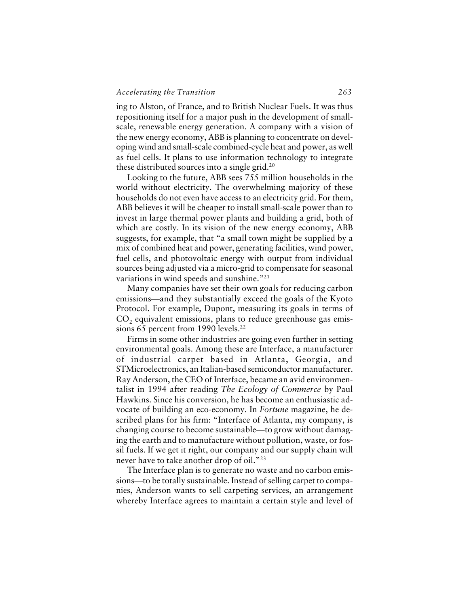ing to Alston, of France, and to British Nuclear Fuels. It was thus repositioning itself for a major push in the development of smallscale, renewable energy generation. A company with a vision of the new energy economy, ABB is planning to concentrate on developing wind and small-scale combined-cycle heat and power, as well as fuel cells. It plans to use information technology to integrate these distributed sources into a single grid.<sup>20</sup>

Looking to the future, ABB sees 755 million households in the world without electricity. The overwhelming majority of these households do not even have access to an electricity grid. For them, ABB believes it will be cheaper to install small-scale power than to invest in large thermal power plants and building a grid, both of which are costly. In its vision of the new energy economy, ABB suggests, for example, that "a small town might be supplied by a mix of combined heat and power, generating facilities, wind power, fuel cells, and photovoltaic energy with output from individual sources being adjusted via a micro-grid to compensate for seasonal variations in wind speeds and sunshine."<sup>21</sup>

Many companies have set their own goals for reducing carbon emissions—and they substantially exceed the goals of the Kyoto Protocol. For example, Dupont, measuring its goals in terms of  $\mathrm{CO}_2$  equivalent emissions, plans to reduce greenhouse gas emissions 65 percent from 1990 levels.<sup>22</sup>

Firms in some other industries are going even further in setting environmental goals. Among these are Interface, a manufacturer of industrial carpet based in Atlanta, Georgia, and STMicroelectronics, an Italian-based semiconductor manufacturer. Ray Anderson, the CEO of Interface, became an avid environmentalist in 1994 after reading *The Ecology of Commerce* by Paul Hawkins. Since his conversion, he has become an enthusiastic advocate of building an eco-economy. In *Fortune* magazine, he described plans for his firm: "Interface of Atlanta, my company, is changing course to become sustainable—to grow without damaging the earth and to manufacture without pollution, waste, or fossil fuels. If we get it right, our company and our supply chain will never have to take another drop of oil."<sup>23</sup>

The Interface plan is to generate no waste and no carbon emissions—to be totally sustainable. Instead of selling carpet to companies, Anderson wants to sell carpeting services, an arrangement whereby Interface agrees to maintain a certain style and level of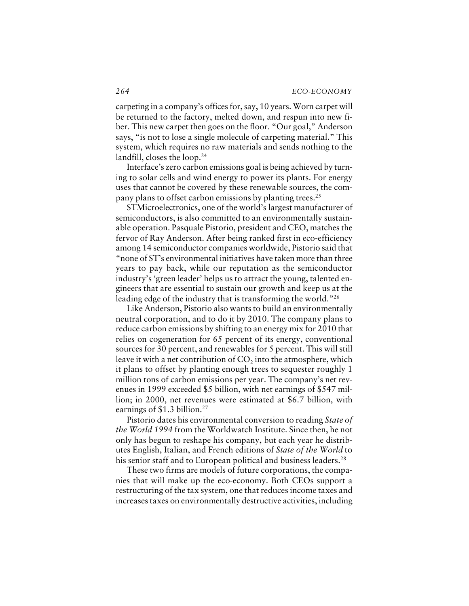carpeting in a company's offices for, say, 10 years. Worn carpet will be returned to the factory, melted down, and respun into new fiber. This new carpet then goes on the floor. "Our goal," Anderson says, "is not to lose a single molecule of carpeting material." This system, which requires no raw materials and sends nothing to the landfill, closes the loop.<sup>24</sup>

Interface's zero carbon emissions goal is being achieved by turning to solar cells and wind energy to power its plants. For energy uses that cannot be covered by these renewable sources, the company plans to offset carbon emissions by planting trees.<sup>25</sup>

STMicroelectronics, one of the world's largest manufacturer of semiconductors, is also committed to an environmentally sustainable operation. Pasquale Pistorio, president and CEO, matches the fervor of Ray Anderson. After being ranked first in eco-efficiency among 14 semiconductor companies worldwide, Pistorio said that "none of ST's environmental initiatives have taken more than three years to pay back, while our reputation as the semiconductor industry's 'green leader' helps us to attract the young, talented engineers that are essential to sustain our growth and keep us at the leading edge of the industry that is transforming the world."<sup>26</sup>

Like Anderson, Pistorio also wants to build an environmentally neutral corporation, and to do it by 2010. The company plans to reduce carbon emissions by shifting to an energy mix for 2010 that relies on cogeneration for 65 percent of its energy, conventional sources for 30 percent, and renewables for 5 percent. This will still leave it with a net contribution of  $\mathrm{CO}_2$  into the atmosphere, which it plans to offset by planting enough trees to sequester roughly 1 million tons of carbon emissions per year. The company's net revenues in 1999 exceeded \$5 billion, with net earnings of \$547 million; in 2000, net revenues were estimated at \$6.7 billion, with earnings of \$1.3 billion.<sup>27</sup>

Pistorio dates his environmental conversion to reading *State of the World 1994* from the Worldwatch Institute. Since then, he not only has begun to reshape his company, but each year he distributes English, Italian, and French editions of *State of the World* to his senior staff and to European political and business leaders.<sup>28</sup>

These two firms are models of future corporations, the companies that will make up the eco-economy. Both CEOs support a restructuring of the tax system, one that reduces income taxes and increases taxes on environmentally destructive activities, including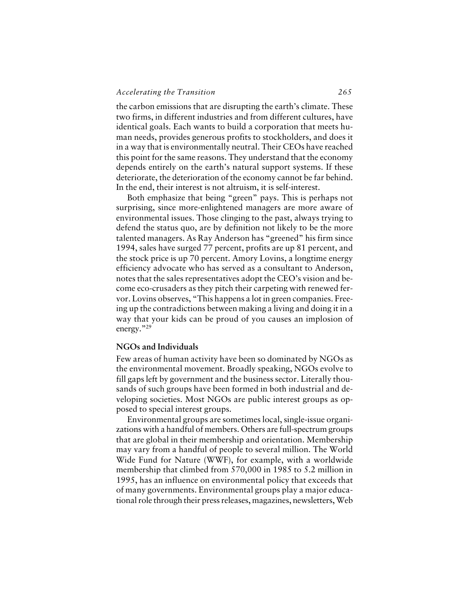the carbon emissions that are disrupting the earth's climate. These two firms, in different industries and from different cultures, have identical goals. Each wants to build a corporation that meets human needs, provides generous profits to stockholders, and does it in a way that is environmentally neutral. Their CEOs have reached this point for the same reasons. They understand that the economy depends entirely on the earth's natural support systems. If these deteriorate, the deterioration of the economy cannot be far behind. In the end, their interest is not altruism, it is self-interest.

Both emphasize that being "green" pays. This is perhaps not surprising, since more-enlightened managers are more aware of environmental issues. Those clinging to the past, always trying to defend the status quo, are by definition not likely to be the more talented managers. As Ray Anderson has "greened" his firm since 1994, sales have surged 77 percent, profits are up 81 percent, and the stock price is up 70 percent. Amory Lovins, a longtime energy efficiency advocate who has served as a consultant to Anderson, notes that the sales representatives adopt the CEO's vision and become eco-crusaders as they pitch their carpeting with renewed fervor. Lovins observes, "This happens a lot in green companies. Freeing up the contradictions between making a living and doing it in a way that your kids can be proud of you causes an implosion of energy."<sup>29</sup>

#### **NGOs and Individuals**

Few areas of human activity have been so dominated by NGOs as the environmental movement. Broadly speaking, NGOs evolve to fill gaps left by government and the business sector. Literally thousands of such groups have been formed in both industrial and developing societies. Most NGOs are public interest groups as opposed to special interest groups.

Environmental groups are sometimes local, single-issue organizations with a handful of members. Others are full-spectrum groups that are global in their membership and orientation. Membership may vary from a handful of people to several million. The World Wide Fund for Nature (WWF), for example, with a worldwide membership that climbed from 570,000 in 1985 to 5.2 million in 1995, has an influence on environmental policy that exceeds that of many governments. Environmental groups play a major educational role through their press releases, magazines, newsletters, Web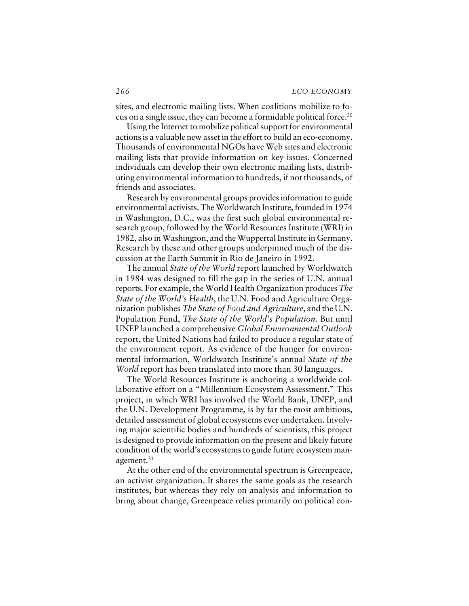sites, and electronic mailing lists. When coalitions mobilize to focus on a single issue, they can become a formidable political force.<sup>30</sup>

Using the Internet to mobilize political support for environmental actions is a valuable new asset in the effort to build an eco-economy. Thousands of environmental NGOs have Web sites and electronic mailing lists that provide information on key issues. Concerned individuals can develop their own electronic mailing lists, distributing environmental information to hundreds, if not thousands, of friends and associates.

Research by environmental groups provides information to guide environmental activists. The Worldwatch Institute, founded in 1974 in Washington, D.C., was the first such global environmental research group, followed by the World Resources Institute (WRI) in 1982, also in Washington, and the Wuppertal Institute in Germany. Research by these and other groups underpinned much of the discussion at the Earth Summit in Rio de Janeiro in 1992.

The annual *State of the World* report launched by Worldwatch in 1984 was designed to fill the gap in the series of U.N. annual reports. For example, the World Health Organization produces *The State of the World's Health*, the U.N. Food and Agriculture Organization publishes *The State of Food and Agriculture*, and the U.N. Population Fund, *The State of the World's Population*. But until UNEP launched a comprehensive *Global Environmental Outlook* report, the United Nations had failed to produce a regular state of the environment report. As evidence of the hunger for environmental information, Worldwatch Institute's annual *State of the World* report has been translated into more than 30 languages.

The World Resources Institute is anchoring a worldwide collaborative effort on a "Millennium Ecosystem Assessment." This project, in which WRI has involved the World Bank, UNEP, and the U.N. Development Programme, is by far the most ambitious, detailed assessment of global ecosystems ever undertaken. Involving major scientific bodies and hundreds of scientists, this project is designed to provide information on the present and likely future condition of the world's ecosystems to guide future ecosystem management.<sup>31</sup>

At the other end of the environmental spectrum is Greenpeace, an activist organization. It shares the same goals as the research institutes, but whereas they rely on analysis and information to bring about change, Greenpeace relies primarily on political con-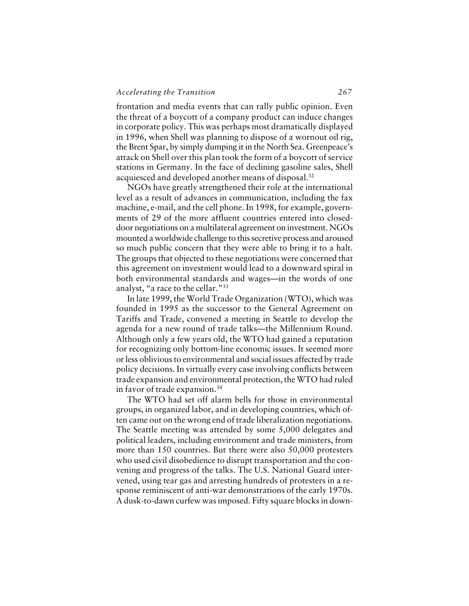frontation and media events that can rally public opinion. Even the threat of a boycott of a company product can induce changes in corporate policy. This was perhaps most dramatically displayed in 1996, when Shell was planning to dispose of a wornout oil rig, the Brent Spar, by simply dumping it in the North Sea. Greenpeace's attack on Shell over this plan took the form of a boycott of service stations in Germany. In the face of declining gasoline sales, Shell acquiesced and developed another means of disposal.<sup>32</sup>

NGOs have greatly strengthened their role at the international level as a result of advances in communication, including the fax machine, e-mail, and the cell phone. In 1998, for example, governments of 29 of the more affluent countries entered into closeddoor negotiations on a multilateral agreement on investment. NGOs mounted a worldwide challenge to this secretive process and aroused so much public concern that they were able to bring it to a halt. The groups that objected to these negotiations were concerned that this agreement on investment would lead to a downward spiral in both environmental standards and wages—in the words of one analyst, "a race to the cellar."<sup>33</sup>

In late 1999, the World Trade Organization (WTO), which was founded in 1995 as the successor to the General Agreement on Tariffs and Trade, convened a meeting in Seattle to develop the agenda for a new round of trade talks—the Millennium Round. Although only a few years old, the WTO had gained a reputation for recognizing only bottom-line economic issues. It seemed more or less oblivious to environmental and social issues affected by trade policy decisions. In virtually every case involving conflicts between trade expansion and environmental protection, the WTO had ruled in favor of trade expansion.<sup>34</sup>

The WTO had set off alarm bells for those in environmental groups, in organized labor, and in developing countries, which often came out on the wrong end of trade liberalization negotiations. The Seattle meeting was attended by some 5,000 delegates and political leaders, including environment and trade ministers, from more than 150 countries. But there were also 50,000 protesters who used civil disobedience to disrupt transportation and the convening and progress of the talks. The U.S. National Guard intervened, using tear gas and arresting hundreds of protesters in a response reminiscent of anti-war demonstrations of the early 1970s. A dusk-to-dawn curfew was imposed. Fifty square blocks in down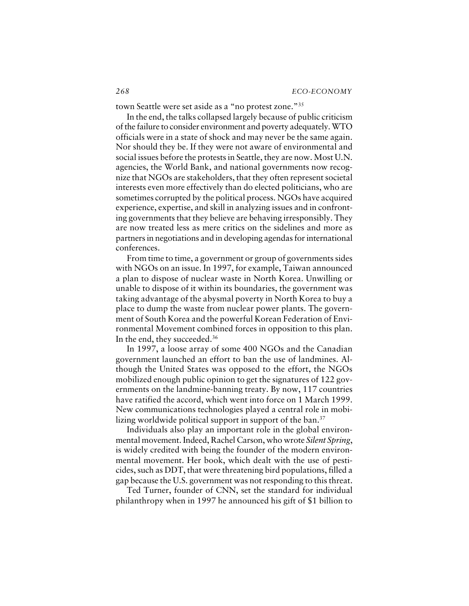town Seattle were set aside as a "no protest zone."<sup>35</sup>

In the end, the talks collapsed largely because of public criticism of the failure to consider environment and poverty adequately. WTO officials were in a state of shock and may never be the same again. Nor should they be. If they were not aware of environmental and social issues before the protests in Seattle, they are now. Most U.N. agencies, the World Bank, and national governments now recognize that NGOs are stakeholders, that they often represent societal interests even more effectively than do elected politicians, who are sometimes corrupted by the political process. NGOs have acquired experience, expertise, and skill in analyzing issues and in confronting governments that they believe are behaving irresponsibly. They are now treated less as mere critics on the sidelines and more as partners in negotiations and in developing agendas for international conferences.

From time to time, a government or group of governments sides with NGOs on an issue. In 1997, for example, Taiwan announced a plan to dispose of nuclear waste in North Korea. Unwilling or unable to dispose of it within its boundaries, the government was taking advantage of the abysmal poverty in North Korea to buy a place to dump the waste from nuclear power plants. The government of South Korea and the powerful Korean Federation of Environmental Movement combined forces in opposition to this plan. In the end, they succeeded.<sup>36</sup>

In 1997, a loose array of some 400 NGOs and the Canadian government launched an effort to ban the use of landmines. Although the United States was opposed to the effort, the NGOs mobilized enough public opinion to get the signatures of 122 governments on the landmine-banning treaty. By now, 117 countries have ratified the accord, which went into force on 1 March 1999. New communications technologies played a central role in mobilizing worldwide political support in support of the ban.<sup>37</sup>

Individuals also play an important role in the global environmental movement. Indeed, Rachel Carson, who wrote *Silent Spring*, is widely credited with being the founder of the modern environmental movement. Her book, which dealt with the use of pesticides, such as DDT, that were threatening bird populations, filled a gap because the U.S. government was not responding to this threat.

Ted Turner, founder of CNN, set the standard for individual philanthropy when in 1997 he announced his gift of \$1 billion to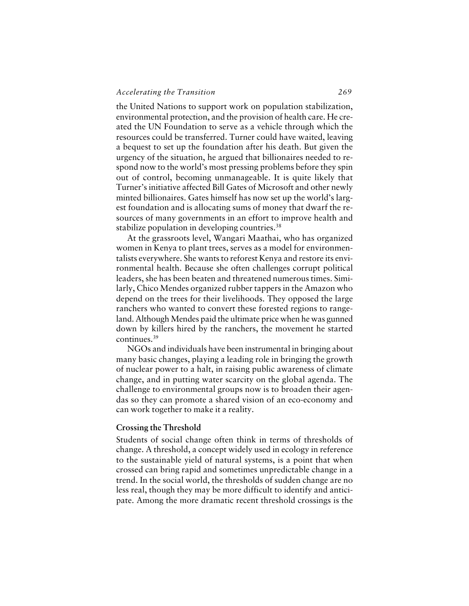the United Nations to support work on population stabilization, environmental protection, and the provision of health care. He created the UN Foundation to serve as a vehicle through which the resources could be transferred. Turner could have waited, leaving a bequest to set up the foundation after his death. But given the urgency of the situation, he argued that billionaires needed to respond now to the world's most pressing problems before they spin out of control, becoming unmanageable. It is quite likely that Turner's initiative affected Bill Gates of Microsoft and other newly minted billionaires. Gates himself has now set up the world's largest foundation and is allocating sums of money that dwarf the resources of many governments in an effort to improve health and stabilize population in developing countries.<sup>38</sup>

At the grassroots level, Wangari Maathai, who has organized women in Kenya to plant trees, serves as a model for environmentalists everywhere. She wants to reforest Kenya and restore its environmental health. Because she often challenges corrupt political leaders, she has been beaten and threatened numerous times. Similarly, Chico Mendes organized rubber tappers in the Amazon who depend on the trees for their livelihoods. They opposed the large ranchers who wanted to convert these forested regions to rangeland. Although Mendes paid the ultimate price when he was gunned down by killers hired by the ranchers, the movement he started continues.<sup>39</sup>

NGOs and individuals have been instrumental in bringing about many basic changes, playing a leading role in bringing the growth of nuclear power to a halt, in raising public awareness of climate change, and in putting water scarcity on the global agenda. The challenge to environmental groups now is to broaden their agendas so they can promote a shared vision of an eco-economy and can work together to make it a reality.

#### **Crossing the Threshold**

Students of social change often think in terms of thresholds of change. A threshold, a concept widely used in ecology in reference to the sustainable yield of natural systems, is a point that when crossed can bring rapid and sometimes unpredictable change in a trend. In the social world, the thresholds of sudden change are no less real, though they may be more difficult to identify and anticipate. Among the more dramatic recent threshold crossings is the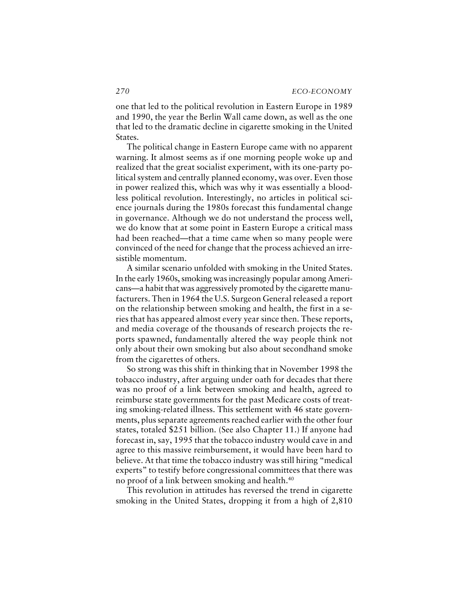one that led to the political revolution in Eastern Europe in 1989 and 1990, the year the Berlin Wall came down, as well as the one that led to the dramatic decline in cigarette smoking in the United States.

The political change in Eastern Europe came with no apparent warning. It almost seems as if one morning people woke up and realized that the great socialist experiment, with its one-party political system and centrally planned economy, was over. Even those in power realized this, which was why it was essentially a bloodless political revolution. Interestingly, no articles in political science journals during the 1980s forecast this fundamental change in governance. Although we do not understand the process well, we do know that at some point in Eastern Europe a critical mass had been reached—that a time came when so many people were convinced of the need for change that the process achieved an irresistible momentum.

A similar scenario unfolded with smoking in the United States. In the early 1960s, smoking was increasingly popular among Americans—a habit that was aggressively promoted by the cigarette manufacturers. Then in 1964 the U.S. Surgeon General released a report on the relationship between smoking and health, the first in a series that has appeared almost every year since then. These reports, and media coverage of the thousands of research projects the reports spawned, fundamentally altered the way people think not only about their own smoking but also about secondhand smoke from the cigarettes of others.

So strong was this shift in thinking that in November 1998 the tobacco industry, after arguing under oath for decades that there was no proof of a link between smoking and health, agreed to reimburse state governments for the past Medicare costs of treating smoking-related illness. This settlement with 46 state governments, plus separate agreements reached earlier with the other four states, totaled \$251 billion. (See also Chapter 11.) If anyone had forecast in, say, 1995 that the tobacco industry would cave in and agree to this massive reimbursement, it would have been hard to believe. At that time the tobacco industry was still hiring "medical experts" to testify before congressional committees that there was no proof of a link between smoking and health.<sup>40</sup>

This revolution in attitudes has reversed the trend in cigarette smoking in the United States, dropping it from a high of 2,810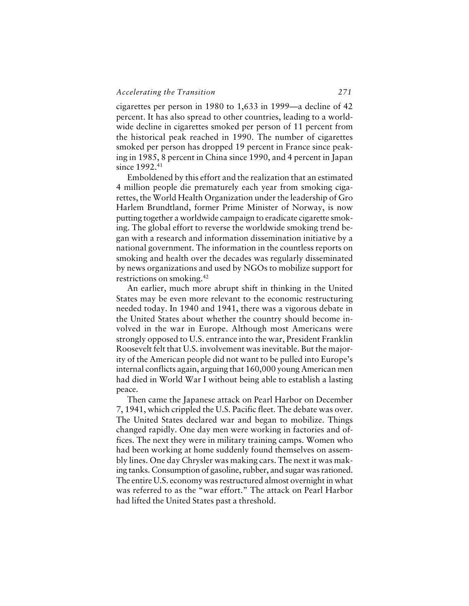cigarettes per person in 1980 to 1,633 in 1999—a decline of 42 percent. It has also spread to other countries, leading to a worldwide decline in cigarettes smoked per person of 11 percent from the historical peak reached in 1990. The number of cigarettes smoked per person has dropped 19 percent in France since peaking in 1985, 8 percent in China since 1990, and 4 percent in Japan since 1992.<sup>41</sup>

Emboldened by this effort and the realization that an estimated 4 million people die prematurely each year from smoking cigarettes, the World Health Organization under the leadership of Gro Harlem Brundtland, former Prime Minister of Norway, is now putting together a worldwide campaign to eradicate cigarette smoking. The global effort to reverse the worldwide smoking trend began with a research and information dissemination initiative by a national government. The information in the countless reports on smoking and health over the decades was regularly disseminated by news organizations and used by NGOs to mobilize support for restrictions on smoking.<sup>42</sup>

An earlier, much more abrupt shift in thinking in the United States may be even more relevant to the economic restructuring needed today. In 1940 and 1941, there was a vigorous debate in the United States about whether the country should become involved in the war in Europe. Although most Americans were strongly opposed to U.S. entrance into the war, President Franklin Roosevelt felt that U.S. involvement was inevitable. But the majority of the American people did not want to be pulled into Europe's internal conflicts again, arguing that 160,000 young American men had died in World War I without being able to establish a lasting peace.

Then came the Japanese attack on Pearl Harbor on December 7, 1941, which crippled the U.S. Pacific fleet. The debate was over. The United States declared war and began to mobilize. Things changed rapidly. One day men were working in factories and offices. The next they were in military training camps. Women who had been working at home suddenly found themselves on assembly lines. One day Chrysler was making cars. The next it was making tanks. Consumption of gasoline, rubber, and sugar was rationed. The entire U.S. economy was restructured almost overnight in what was referred to as the "war effort." The attack on Pearl Harbor had lifted the United States past a threshold.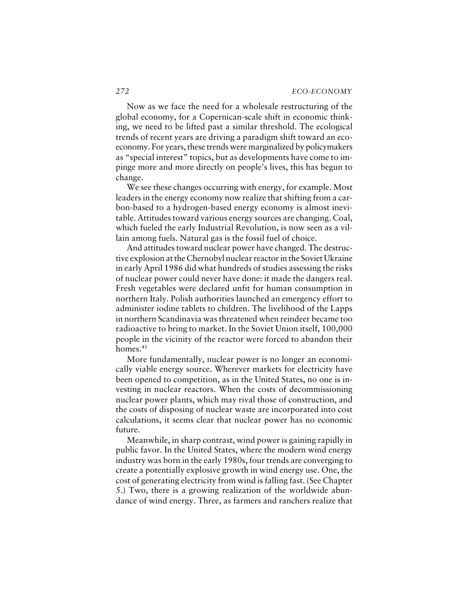Now as we face the need for a wholesale restructuring of the global economy, for a Copernican-scale shift in economic thinking, we need to be lifted past a similar threshold. The ecological trends of recent years are driving a paradigm shift toward an ecoeconomy. For years, these trends were marginalized by policymakers as "special interest" topics, but as developments have come to impinge more and more directly on people's lives, this has begun to change.

We see these changes occurring with energy, for example. Most leaders in the energy economy now realize that shifting from a carbon-based to a hydrogen-based energy economy is almost inevitable. Attitudes toward various energy sources are changing. Coal, which fueled the early Industrial Revolution, is now seen as a villain among fuels. Natural gas is the fossil fuel of choice.

And attitudes toward nuclear power have changed. The destructive explosion at the Chernobyl nuclear reactor in the Soviet Ukraine in early April 1986 did what hundreds of studies assessing the risks of nuclear power could never have done: it made the dangers real. Fresh vegetables were declared unfit for human consumption in northern Italy. Polish authorities launched an emergency effort to administer iodine tablets to children. The livelihood of the Lapps in northern Scandinavia was threatened when reindeer became too radioactive to bring to market. In the Soviet Union itself, 100,000 people in the vicinity of the reactor were forced to abandon their homes.<sup>43</sup>

More fundamentally, nuclear power is no longer an economically viable energy source. Wherever markets for electricity have been opened to competition, as in the United States, no one is investing in nuclear reactors. When the costs of decommissioning nuclear power plants, which may rival those of construction, and the costs of disposing of nuclear waste are incorporated into cost calculations, it seems clear that nuclear power has no economic future.

Meanwhile, in sharp contrast, wind power is gaining rapidly in public favor. In the United States, where the modern wind energy industry was born in the early 1980s, four trends are converging to create a potentially explosive growth in wind energy use. One, the cost of generating electricity from wind is falling fast. (See Chapter 5.) Two, there is a growing realization of the worldwide abundance of wind energy. Three, as farmers and ranchers realize that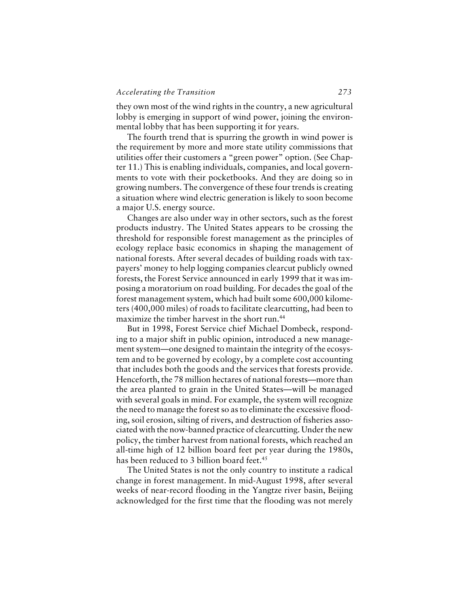they own most of the wind rights in the country, a new agricultural lobby is emerging in support of wind power, joining the environmental lobby that has been supporting it for years.

The fourth trend that is spurring the growth in wind power is the requirement by more and more state utility commissions that utilities offer their customers a "green power" option. (See Chapter 11.) This is enabling individuals, companies, and local governments to vote with their pocketbooks. And they are doing so in growing numbers. The convergence of these four trends is creating a situation where wind electric generation is likely to soon become a major U.S. energy source.

Changes are also under way in other sectors, such as the forest products industry. The United States appears to be crossing the threshold for responsible forest management as the principles of ecology replace basic economics in shaping the management of national forests. After several decades of building roads with taxpayers' money to help logging companies clearcut publicly owned forests, the Forest Service announced in early 1999 that it was imposing a moratorium on road building. For decades the goal of the forest management system, which had built some 600,000 kilometers (400,000 miles) of roads to facilitate clearcutting, had been to maximize the timber harvest in the short run.<sup>44</sup>

But in 1998, Forest Service chief Michael Dombeck, responding to a major shift in public opinion, introduced a new management system—one designed to maintain the integrity of the ecosystem and to be governed by ecology, by a complete cost accounting that includes both the goods and the services that forests provide. Henceforth, the 78 million hectares of national forests—more than the area planted to grain in the United States—will be managed with several goals in mind. For example, the system will recognize the need to manage the forest so as to eliminate the excessive flooding, soil erosion, silting of rivers, and destruction of fisheries associated with the now-banned practice of clearcutting. Under the new policy, the timber harvest from national forests, which reached an all-time high of 12 billion board feet per year during the 1980s, has been reduced to 3 billion board feet.<sup>45</sup>

The United States is not the only country to institute a radical change in forest management. In mid-August 1998, after several weeks of near-record flooding in the Yangtze river basin, Beijing acknowledged for the first time that the flooding was not merely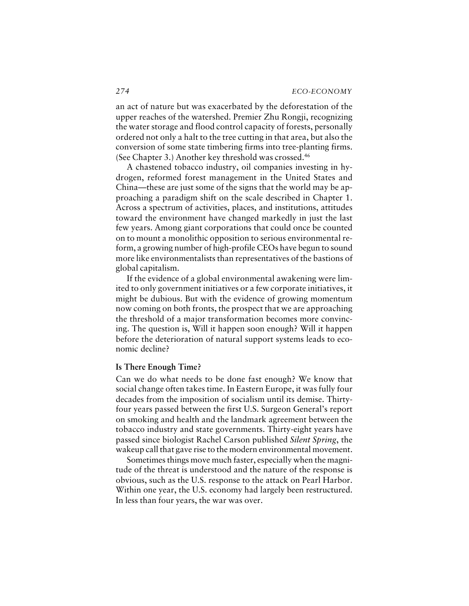an act of nature but was exacerbated by the deforestation of the upper reaches of the watershed. Premier Zhu Rongji, recognizing the water storage and flood control capacity of forests, personally ordered not only a halt to the tree cutting in that area, but also the conversion of some state timbering firms into tree-planting firms. (See Chapter 3.) Another key threshold was crossed.<sup>46</sup>

A chastened tobacco industry, oil companies investing in hydrogen, reformed forest management in the United States and China—these are just some of the signs that the world may be approaching a paradigm shift on the scale described in Chapter 1. Across a spectrum of activities, places, and institutions, attitudes toward the environment have changed markedly in just the last few years. Among giant corporations that could once be counted on to mount a monolithic opposition to serious environmental reform, a growing number of high-profile CEOs have begun to sound more like environmentalists than representatives of the bastions of global capitalism.

If the evidence of a global environmental awakening were limited to only government initiatives or a few corporate initiatives, it might be dubious. But with the evidence of growing momentum now coming on both fronts, the prospect that we are approaching the threshold of a major transformation becomes more convincing. The question is, Will it happen soon enough? Will it happen before the deterioration of natural support systems leads to economic decline?

#### **Is There Enough Time?**

Can we do what needs to be done fast enough? We know that social change often takes time. In Eastern Europe, it was fully four decades from the imposition of socialism until its demise. Thirtyfour years passed between the first U.S. Surgeon General's report on smoking and health and the landmark agreement between the tobacco industry and state governments. Thirty-eight years have passed since biologist Rachel Carson published *Silent Spring*, the wakeup call that gave rise to the modern environmental movement.

Sometimes things move much faster, especially when the magnitude of the threat is understood and the nature of the response is obvious, such as the U.S. response to the attack on Pearl Harbor. Within one year, the U.S. economy had largely been restructured. In less than four years, the war was over.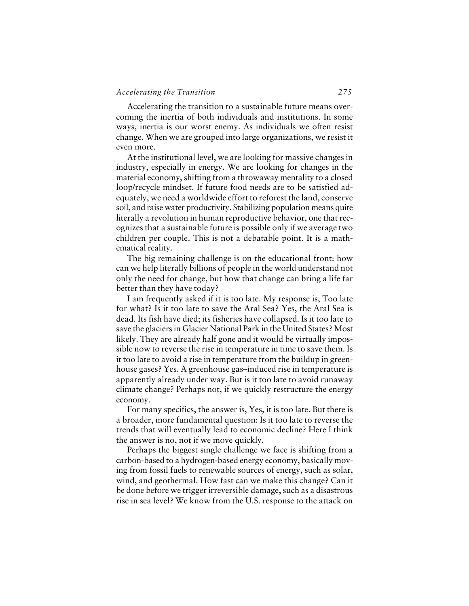Accelerating the transition to a sustainable future means overcoming the inertia of both individuals and institutions. In some ways, inertia is our worst enemy. As individuals we often resist change. When we are grouped into large organizations, we resist it even more.

At the institutional level, we are looking for massive changes in industry, especially in energy. We are looking for changes in the material economy, shifting from a throwaway mentality to a closed loop/recycle mindset. If future food needs are to be satisfied adequately, we need a worldwide effort to reforest the land, conserve soil, and raise water productivity. Stabilizing population means quite literally a revolution in human reproductive behavior, one that recognizes that a sustainable future is possible only if we average two children per couple. This is not a debatable point. It is a mathematical reality.

The big remaining challenge is on the educational front: how can we help literally billions of people in the world understand not only the need for change, but how that change can bring a life far better than they have today?

I am frequently asked if it is too late. My response is, Too late for what? Is it too late to save the Aral Sea? Yes, the Aral Sea is dead. Its fish have died; its fisheries have collapsed. Is it too late to save the glaciers in Glacier National Park in the United States? Most likely. They are already half gone and it would be virtually impossible now to reverse the rise in temperature in time to save them. Is it too late to avoid a rise in temperature from the buildup in greenhouse gases? Yes. A greenhouse gas–induced rise in temperature is apparently already under way. But is it too late to avoid runaway climate change? Perhaps not, if we quickly restructure the energy economy.

For many specifics, the answer is, Yes, it is too late. But there is a broader, more fundamental question: Is it too late to reverse the trends that will eventually lead to economic decline? Here I think the answer is no, not if we move quickly.

Perhaps the biggest single challenge we face is shifting from a carbon-based to a hydrogen-based energy economy, basically moving from fossil fuels to renewable sources of energy, such as solar, wind, and geothermal. How fast can we make this change? Can it be done before we trigger irreversible damage, such as a disastrous rise in sea level? We know from the U.S. response to the attack on